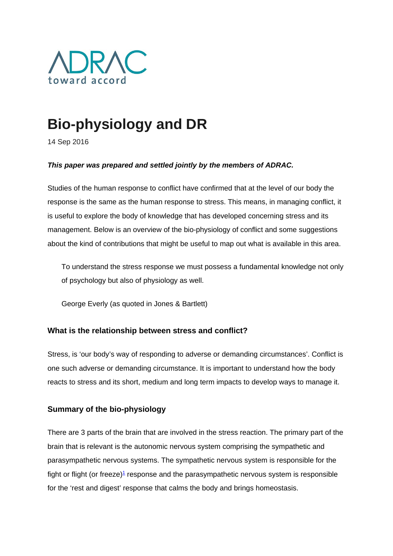

# **Bio-physiology and DR**

14 Sep 2016

## *This paper was prepared and settled jointly by the members of ADRAC.*

Studies of the human response to conflict have confirmed that at the level of our body the response is the same as the human response to stress. This means, in managing conflict, it is useful to explore the body of knowledge that has developed concerning stress and its management. Below is an overview of the bio-physiology of conflict and some suggestions about the kind of contributions that might be useful to map out what is available in this area.

To understand the stress response we must possess a fundamental knowledge not only of psychology but also of physiology as well.

George Everly (as quoted in Jones & Bartlett)

# **What is the relationship between stress and conflict?**

Stress, is 'our body's way of responding to adverse or demanding circumstances'. Conflict is one such adverse or demanding circumstance. It is important to understand how the body reacts to stress and its short, medium and long term impacts to develop ways to manage it.

# **Summary of the bio-physiology**

There are 3 parts of the brain that are involved in the stress reaction. The primary part of the brain that is relevant is the autonomic nervous system comprising the sympathetic and parasympathetic nervous systems. The sympathetic nervous system is responsible for the fight or flight (or freeze) $\frac{1}{2}$  response and the parasympathetic nervous system is responsible for the 'rest and digest' response that calms the body and brings homeostasis.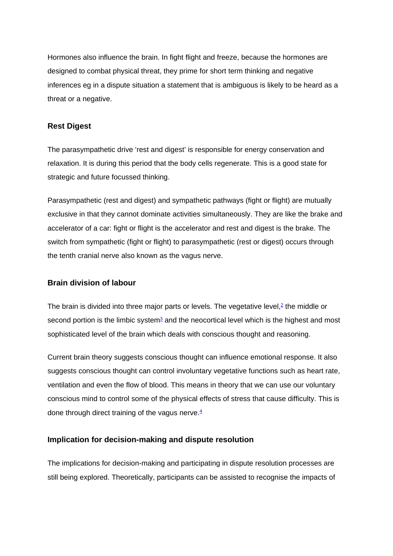Hormones also influence the brain. In fight flight and freeze, because the hormones are designed to combat physical threat, they prime for short term thinking and negative inferences eg in a dispute situation a statement that is ambiguous is likely to be heard as a threat or a negative.

## **Rest Digest**

The parasympathetic drive 'rest and digest' is responsible for energy conservation and relaxation. It is during this period that the body cells regenerate. This is a good state for strategic and future focussed thinking.

Parasympathetic (rest and digest) and sympathetic pathways (fight or flight) are mutually exclusive in that they cannot dominate activities simultaneously. They are like the brake and accelerator of a car: fight or flight is the accelerator and rest and digest is the brake. The switch from sympathetic (fight or flight) to parasympathetic (rest or digest) occurs through the tenth cranial nerve also known as the vagus nerve.

# **Brain division of labour**

The brain is divided into three major parts or levels. The vegetative level, $2$  the middle or second portion is the limbic system $3$  and the neocortical level which is the highest and most sophisticated level of the brain which deals with conscious thought and reasoning.

Current brain theory suggests conscious thought can influence emotional response. It also suggests conscious thought can control involuntary vegetative functions such as heart rate, ventilation and even the flow of blood. This means in theory that we can use our voluntary conscious mind to control some of the physical effects of stress that cause difficulty. This is done through direct training of the vagus nerve. $4$ 

### **Implication for decision-making and dispute resolution**

The implications for decision-making and participating in dispute resolution processes are still being explored. Theoretically, participants can be assisted to recognise the impacts of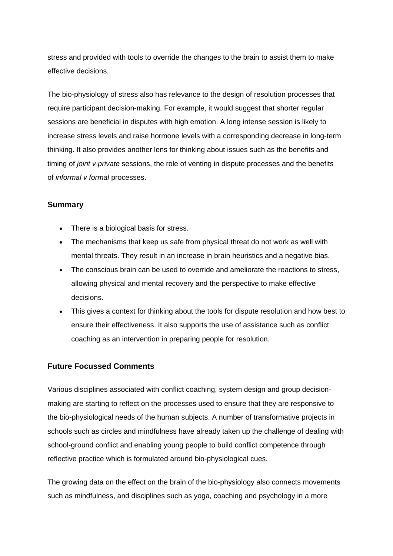stress and provided with tools to override the changes to the brain to assist them to make effective decisions.

The bio-physiology of stress also has relevance to the design of resolution processes that require participant decision-making. For example, it would suggest that shorter regular sessions are beneficial in disputes with high emotion. A long intense session is likely to increase stress levels and raise hormone levels with a corresponding decrease in long-term thinking. It also provides another lens for thinking about issues such as the benefits and timing of *joint v private* sessions, the role of venting in dispute processes and the benefits of *informal v formal* processes.

### **Summary**

- There is a biological basis for stress.
- The mechanisms that keep us safe from physical threat do not work as well with mental threats. They result in an increase in brain heuristics and a negative bias.
- The conscious brain can be used to override and ameliorate the reactions to stress, allowing physical and mental recovery and the perspective to make effective decisions.
- This gives a context for thinking about the tools for dispute resolution and how best to ensure their effectiveness. It also supports the use of assistance such as conflict coaching as an intervention in preparing people for resolution.

# **Future Focussed Comments**

Various disciplines associated with conflict coaching, system design and group decisionmaking are starting to reflect on the processes used to ensure that they are responsive to the bio-physiological needs of the human subjects. A number of transformative projects in schools such as circles and mindfulness have already taken up the challenge of dealing with school-ground conflict and enabling young people to build conflict competence through reflective practice which is formulated around bio-physiological cues.

The growing data on the effect on the brain of the bio-physiology also connects movements such as mindfulness, and disciplines such as yoga, coaching and psychology in a more